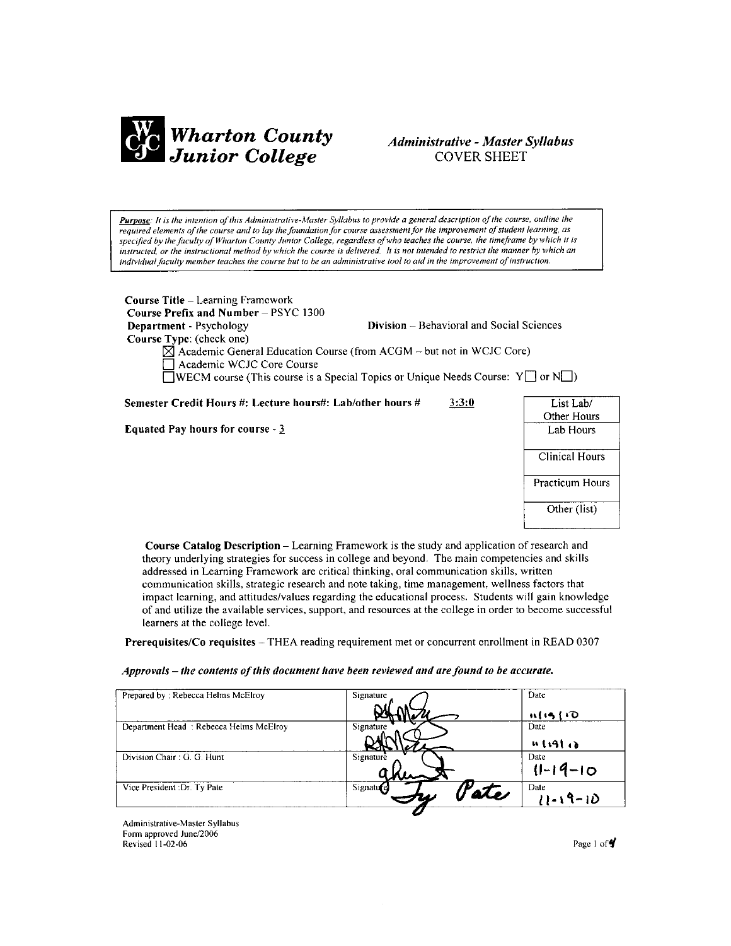

# **Administrative - Master Syllabus COVER SHEET**

Purpose: It is the intention of this Administrative-Master Syllabus to provide a general description of the course, outline the required elements of the course and to lay the foundation for course assessment for the improvement of student learning, as specified by the faculty of Wharton County Junior College, regardless of who teaches the course, the timeframe by which it is instructed, or the instructional method by which the course is delivered. It is not intended to restrict the manner by which an individual faculty member teaches the course but to be an administrative tool to aid in the improvement of instruction.

**Course Title - Learning Framework** Course Prefix and Number - PSYC 1300 Division – Behavioral and Social Sciences Department - Psychology Course Type: (check one)  $\boxtimes$  Academic General Education Course (from ACGM - but not in WCJC Core) Academic WCJC Core Course  $\Box$ WECM course (This course is a Special Topics or Unique Needs Course: Y $\Box$  or N $\Box$ )

Semester Credit Hours #: Lecture hours#: Lab/other hours #  $3:3:0$ 

Equated Pay hours for course -  $3$ 



Course Catalog Description - Learning Framework is the study and application of research and theory underlying strategies for success in college and beyond. The main competencies and skills addressed in Learning Framework are critical thinking, oral communication skills, written communication skills, strategic research and note taking, time management, wellness factors that impact learning, and attitudes/values regarding the educational process. Students will gain knowledge of and utilize the available services, support, and resources at the college in order to become successful learners at the college level.

Prerequisites/Co requisites - THEA reading requirement met or concurrent enrollment in READ 0307

#### Approvals - the contents of this document have been reviewed and are found to be accurate.

| Prepared by: Rebecca Helms McElroy     | Signature         | Date<br>1115110        |
|----------------------------------------|-------------------|------------------------|
| Department Head: Rebecca Helms McElroy | Signature         | Date<br>1.1411         |
| Division Chair: G. G. Hunt             | Signature         | Date<br>$11 - 19 - 10$ |
| Vice President : Dr. Tv Pate           | Signature<br>ates | Date<br>11-19-10       |

Administrative-Master Syllabus Form approved June/2006 Revised 11-02-06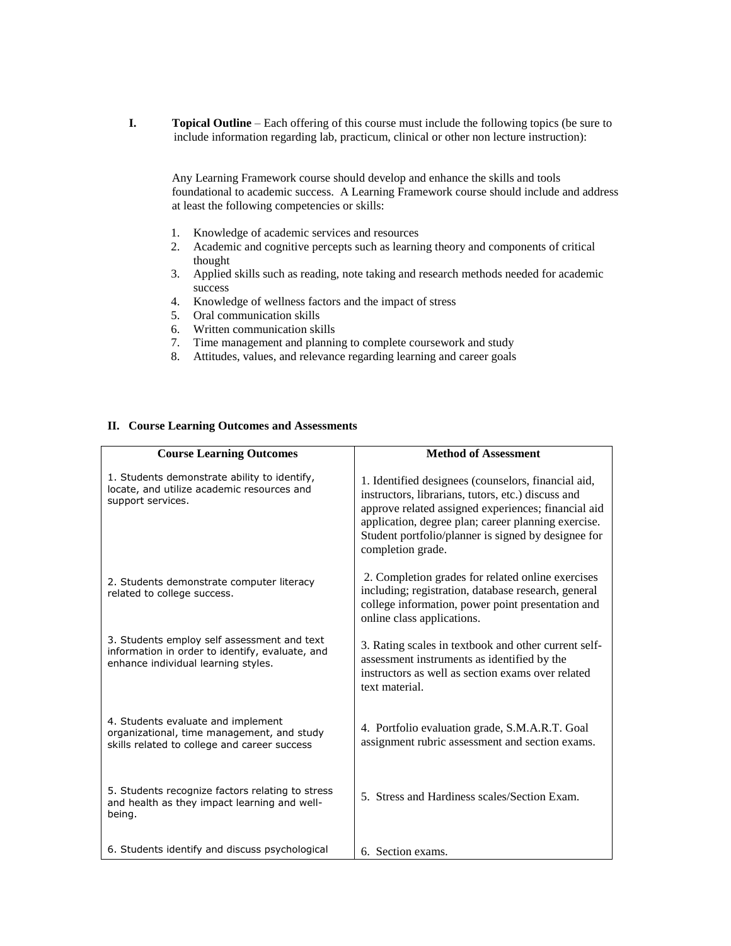**I. Topical Outline** – Each offering of this course must include the following topics (be sure to include information regarding lab, practicum, clinical or other non lecture instruction):

Any Learning Framework course should develop and enhance the skills and tools foundational to academic success. A Learning Framework course should include and address at least the following competencies or skills:

- 1. Knowledge of academic services and resources
- 2. Academic and cognitive percepts such as learning theory and components of critical thought
- 3. Applied skills such as reading, note taking and research methods needed for academic success
- 4. Knowledge of wellness factors and the impact of stress
- 5. Oral communication skills
- 6. Written communication skills
- 7. Time management and planning to complete coursework and study
- 8. Attitudes, values, and relevance regarding learning and career goals

#### **II. Course Learning Outcomes and Assessments**

| <b>Course Learning Outcomes</b>                                                                                                       | <b>Method of Assessment</b>                                                                                                                                                                                                                                                                         |
|---------------------------------------------------------------------------------------------------------------------------------------|-----------------------------------------------------------------------------------------------------------------------------------------------------------------------------------------------------------------------------------------------------------------------------------------------------|
| 1. Students demonstrate ability to identify,<br>locate, and utilize academic resources and<br>support services.                       | 1. Identified designees (counselors, financial aid,<br>instructors, librarians, tutors, etc.) discuss and<br>approve related assigned experiences; financial aid<br>application, degree plan; career planning exercise.<br>Student portfolio/planner is signed by designee for<br>completion grade. |
| 2. Students demonstrate computer literacy<br>related to college success.                                                              | 2. Completion grades for related online exercises<br>including; registration, database research, general<br>college information, power point presentation and<br>online class applications.                                                                                                         |
| 3. Students employ self assessment and text<br>information in order to identify, evaluate, and<br>enhance individual learning styles. | 3. Rating scales in textbook and other current self-<br>assessment instruments as identified by the<br>instructors as well as section exams over related<br>text material.                                                                                                                          |
| 4. Students evaluate and implement<br>organizational, time management, and study<br>skills related to college and career success      | 4. Portfolio evaluation grade, S.M.A.R.T. Goal<br>assignment rubric assessment and section exams.                                                                                                                                                                                                   |
| 5. Students recognize factors relating to stress<br>and health as they impact learning and well-<br>being.                            | 5. Stress and Hardiness scales/Section Exam.                                                                                                                                                                                                                                                        |
| 6. Students identify and discuss psychological                                                                                        | 6. Section exams.                                                                                                                                                                                                                                                                                   |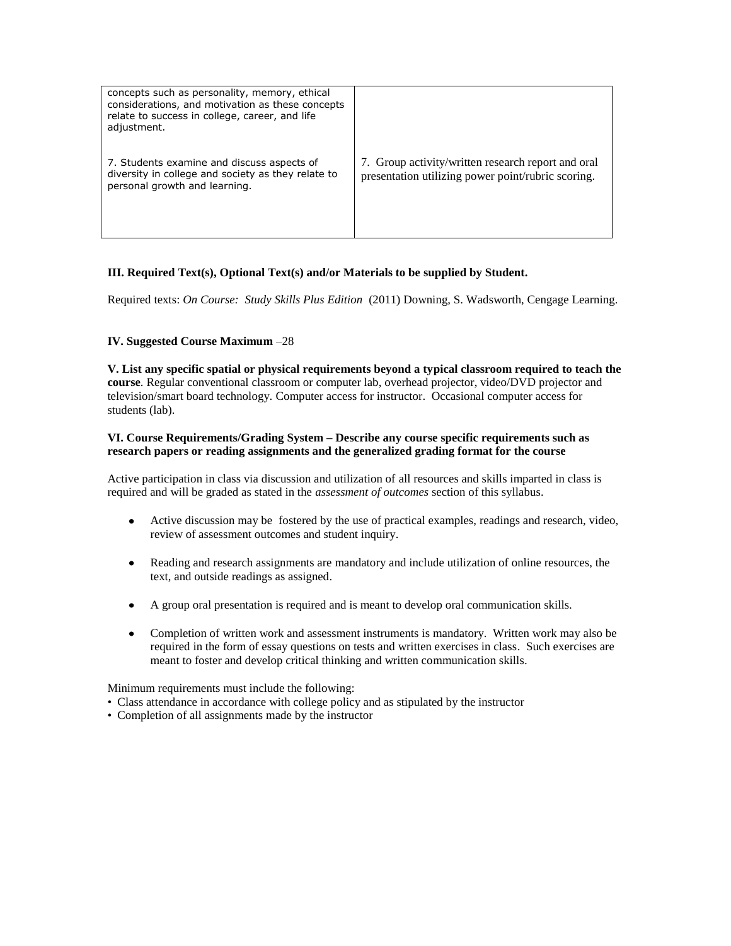| concepts such as personality, memory, ethical<br>considerations, and motivation as these concepts<br>relate to success in college, career, and life<br>adjustment. |                                                                                                          |
|--------------------------------------------------------------------------------------------------------------------------------------------------------------------|----------------------------------------------------------------------------------------------------------|
| 7. Students examine and discuss aspects of<br>diversity in college and society as they relate to<br>personal growth and learning.                                  | 7. Group activity/written research report and oral<br>presentation utilizing power point/rubric scoring. |

# **III. Required Text(s), Optional Text(s) and/or Materials to be supplied by Student.**

Required texts: *On Course: Study Skills Plus Edition* (2011) Downing, S. Wadsworth, Cengage Learning.

## **IV. Suggested Course Maximum** –28

**V. List any specific spatial or physical requirements beyond a typical classroom required to teach the course**. Regular conventional classroom or computer lab, overhead projector, video/DVD projector and television/smart board technology. Computer access for instructor. Occasional computer access for students (lab).

## **VI. Course Requirements/Grading System – Describe any course specific requirements such as research papers or reading assignments and the generalized grading format for the course**

Active participation in class via discussion and utilization of all resources and skills imparted in class is required and will be graded as stated in the *assessment of outcomes* section of this syllabus.

- Active discussion may be fostered by the use of practical examples, readings and research, video, review of assessment outcomes and student inquiry.
- Reading and research assignments are mandatory and include utilization of online resources, the text, and outside readings as assigned.
- A group oral presentation is required and is meant to develop oral communication skills.
- Completion of written work and assessment instruments is mandatory. Written work may also be required in the form of essay questions on tests and written exercises in class. Such exercises are meant to foster and develop critical thinking and written communication skills.

Minimum requirements must include the following:

- Class attendance in accordance with college policy and as stipulated by the instructor
- Completion of all assignments made by the instructor